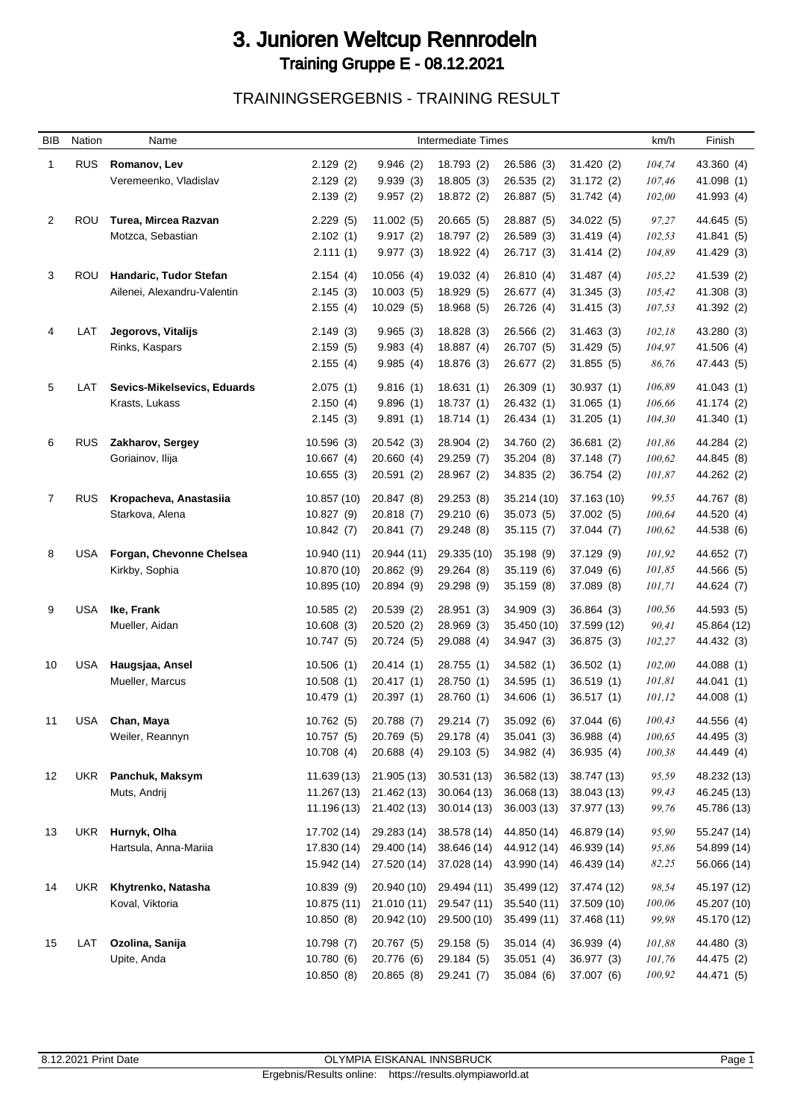## 3. Junioren Weltcup Rennrodeln Training Gruppe E - 08.12.2021

TRAININGSERGEBNIS - TRAINING RESULT

| <b>BIB</b> | Nation     | Name                                 |                            |                            | <b>Intermediate Times</b>  |                            |                            | km/h             | Finish      |
|------------|------------|--------------------------------------|----------------------------|----------------------------|----------------------------|----------------------------|----------------------------|------------------|-------------|
| 1          | <b>RUS</b> | Romanov, Lev                         | 2.129(2)                   | 9.946(2)                   | 18.793 (2)                 | 26.586 (3)                 | 31.420(2)                  | 104,74           | 43.360 (4)  |
|            |            | Veremeenko, Vladislav                | 2.129(2)                   | 9.939(3)                   | 18.805(3)                  | 26.535 (2)                 | 31.172(2)                  | 107,46           | 41.098 (1)  |
|            |            |                                      | 2.139(2)                   | 9.957(2)                   | 18.872 (2)                 | 26.887 (5)                 | 31.742 (4)                 | 102,00           | 41.993 (4)  |
| 2          | ROU        | Turea, Mircea Razvan                 | 2.229(5)                   | 11.002(5)                  | 20.665(5)                  | 28.887 (5)                 | 34.022 (5)                 | 97,27            | 44.645 (5)  |
|            |            | Motzca, Sebastian                    | 2.102(1)                   | 9.917(2)                   | 18.797 (2)                 | 26.589 (3)                 | 31.419(4)                  | 102,53           | 41.841 (5)  |
|            |            |                                      | 2.111(1)                   | 9.977(3)                   | 18.922 (4)                 | 26.717 (3)                 | 31.414 (2)                 | 104,89           | 41.429 (3)  |
|            |            |                                      |                            |                            |                            |                            |                            |                  |             |
| 3          | ROU        | Handaric, Tudor Stefan               | 2.154(4)                   | 10.056(4)                  | 19.032(4)                  | 26.810 (4)                 | 31.487 (4)                 | 105,22           | 41.539 (2)  |
|            |            | Ailenei, Alexandru-Valentin          | 2.145(3)                   | 10.003(5)                  | 18.929 (5)                 | 26.677 (4)                 | 31.345(3)                  | 105,42           | 41.308 (3)  |
|            |            |                                      | 2.155(4)                   | 10.029(5)                  | 18.968 (5)                 | 26.726 (4)                 | 31.415(3)                  | 107,53           | 41.392 (2)  |
| 4          | LAT        | Jegorovs, Vitalijs                   | 2.149(3)                   | 9.965(3)                   | 18.828(3)                  | 26.566 (2)                 | 31.463(3)                  | 102,18           | 43.280 (3)  |
|            |            | Rinks, Kaspars                       | 2.159(5)                   | 9.983(4)                   | 18.887(4)                  | 26.707 (5)                 | 31.429(5)                  | 104,97           | 41.506 (4)  |
|            |            |                                      | 2.155(4)                   | 9.985(4)                   | 18.876 (3)                 | 26.677 (2)                 | 31.855(5)                  | 86,76            | 47.443 (5)  |
| 5          | LAT        | Sevics-Mikelsevics, Eduards          | 2.075(1)                   | 9.816(1)                   | 18.631(1)                  | 26.309(1)                  | 30.937(1)                  | 106,89           | 41.043 (1)  |
|            |            | Krasts, Lukass                       | 2.150(4)                   | 9.896(1)                   | 18.737(1)                  | 26.432 (1)                 | 31.065(1)                  | 106,66           | 41.174 (2)  |
|            |            |                                      | 2.145(3)                   | 9.891(1)                   | 18.714(1)                  | 26.434 (1)                 | 31.205 (1)                 | 104,30           | 41.340 (1)  |
|            |            |                                      |                            |                            |                            |                            |                            |                  |             |
| 6          | <b>RUS</b> | Zakharov, Sergey<br>Goriainov, Ilija | 10.596(3)<br>10.667(4)     | 20.542 (3)<br>20.660 (4)   | 28.904 (2)<br>29.259 (7)   | 34.760 (2)<br>35.204(8)    | 36.681 (2)<br>37.148 (7)   | 101,86<br>100,62 | 44.284 (2)  |
|            |            |                                      | 10.655(3)                  | 20.591(2)                  |                            |                            | 36.754 (2)                 | 101,87           | 44.845 (8)  |
|            |            |                                      |                            |                            | 28.967 (2)                 | 34.835 (2)                 |                            |                  | 44.262 (2)  |
| 7          | <b>RUS</b> | Kropacheva, Anastasiia               | 10.857 (10)                | 20.847 (8)                 | 29.253 (8)                 | 35.214 (10)                | 37.163 (10)                | 99,55            | 44.767 (8)  |
|            |            | Starkova, Alena                      | 10.827 (9)                 | 20.818 (7)                 | 29.210 (6)                 | 35.073 (5)                 | 37.002 (5)                 | 100,64           | 44.520 (4)  |
|            |            |                                      | 10.842(7)                  | 20.841 (7)                 | 29.248 (8)                 | 35.115(7)                  | 37.044 (7)                 | 100,62           | 44.538 (6)  |
| 8          | USA        | Forgan, Chevonne Chelsea             | 10.940 (11)                | 20.944 (11)                | 29.335 (10)                | 35.198 (9)                 | 37.129 (9)                 | 101,92           | 44.652 (7)  |
|            |            | Kirkby, Sophia                       | 10.870 (10)                | 20.862 (9)                 | 29.264 (8)                 | 35.119 (6)                 | 37.049 (6)                 | 101,85           | 44.566 (5)  |
|            |            |                                      | 10.895 (10)                | 20.894 (9)                 | 29.298 (9)                 | 35.159(8)                  | 37.089 (8)                 | 101,71           | 44.624 (7)  |
| 9          | USA        | Ike, Frank                           | 10.585(2)                  | 20.539 (2)                 | 28.951 (3)                 | 34.909 (3)                 | 36.864 (3)                 | 100,56           | 44.593 (5)  |
|            |            | Mueller, Aidan                       | 10.608(3)                  | 20.520 (2)                 | 28.969 (3)                 | 35.450 (10)                | 37.599 (12)                | 90,41            | 45.864 (12) |
|            |            |                                      | 10.747(5)                  | 20.724 (5)                 | 29.088 (4)                 | 34.947 (3)                 | 36.875 (3)                 | 102,27           | 44.432 (3)  |
|            |            |                                      |                            |                            |                            |                            |                            |                  |             |
| 10         | USA        | Haugsjaa, Ansel                      | 10.506(1)                  | 20.414 (1)                 | 28.755 (1)                 | 34.582 (1)                 | 36.502 (1)                 | 102,00           | 44.088 (1)  |
|            |            | Mueller, Marcus                      | 10.508(1)                  | 20.417(1)                  | 28.750 (1)                 | 34.595(1)                  | 36.519(1)                  | 101,81           | 44.041 (1)  |
|            |            |                                      | 10.479(1)                  | 20.397(1)                  | 28.760 (1)                 | 34.606 (1)                 | 36.517 (1)                 | 101,12           | 44.008 (1)  |
| 11         | USA        | Chan, Maya                           | 10.762(5)                  | 20.788 (7)                 | 29.214 (7)                 | 35.092 (6)                 | 37.044 (6)                 | 100,43           | 44.556 (4)  |
|            |            | Weiler, Reannyn                      | 10.757(5)                  | 20.769 (5)                 | 29.178 (4)                 | 35.041 (3)                 | 36.988 (4)                 | 100,65           | 44.495 (3)  |
|            |            |                                      | 10.708(4)                  | 20.688 (4)                 | 29.103 (5)                 | 34.982 (4)                 | 36.935(4)                  | 100,38           | 44.449 (4)  |
| 12         | <b>UKR</b> | Panchuk, Maksym                      | 11.639(13)                 | 21.905 (13)                | 30.531 (13)                | 36.582 (13)                | 38.747 (13)                | 95,59            | 48.232 (13) |
|            |            | Muts, Andrij                         | 11.267 (13)                | 21.462 (13)                | 30.064 (13)                | 36.068 (13)                | 38.043 (13)                | 99,43            | 46.245 (13) |
|            |            |                                      | 11.196 (13)                | 21.402 (13)                | 30.014(13)                 | 36.003(13)                 | 37.977 (13)                | 99,76            | 45.786 (13) |
|            |            | Hurnyk, Olha                         |                            |                            |                            |                            |                            |                  | 55.247 (14) |
| 13         | UKR        | Hartsula, Anna-Mariia                | 17.702 (14)<br>17.830 (14) | 29.283 (14)<br>29.400 (14) | 38.578 (14)<br>38.646 (14) | 44.850 (14)<br>44.912 (14) | 46.879 (14)<br>46.939 (14) | 95,90            | 54.899 (14) |
|            |            |                                      | 15.942 (14)                | 27.520 (14)                | 37.028 (14)                | 43.990 (14)                | 46.439 (14)                | 95,86<br>82,25   | 56.066 (14) |
|            |            |                                      |                            |                            |                            |                            |                            |                  |             |
| 14         | UKR.       | Khytrenko, Natasha                   | 10.839 (9)                 | 20.940 (10)                | 29.494 (11)                | 35.499 (12)                | 37.474 (12)                | 98,54            | 45.197 (12) |
|            |            | Koval, Viktoria                      | 10.875 (11)                | 21.010 (11)                | 29.547 (11)                | 35.540 (11)                | 37.509 (10)                | 100,06           | 45.207 (10) |
|            |            |                                      | 10.850(8)                  | 20.942 (10)                | 29.500 (10)                | 35.499 (11)                | 37.468 (11)                | 99,98            | 45.170 (12) |
| 15         | LAT        | Ozolina, Sanija                      | 10.798 (7)                 | 20.767 (5)                 | 29.158 (5)                 | 35.014(4)                  | 36.939 (4)                 | 101,88           | 44.480 (3)  |
|            |            | Upite, Anda                          | 10.780 (6)                 | 20.776 (6)                 | 29.184 (5)                 | 35.051(4)                  | 36.977 (3)                 | 101,76           | 44.475 (2)  |
|            |            |                                      | 10.850(8)                  | 20.865 (8)                 | 29.241 (7)                 | 35.084 (6)                 | 37.007 (6)                 | 100,92           | 44.471 (5)  |
|            |            |                                      |                            |                            |                            |                            |                            |                  |             |